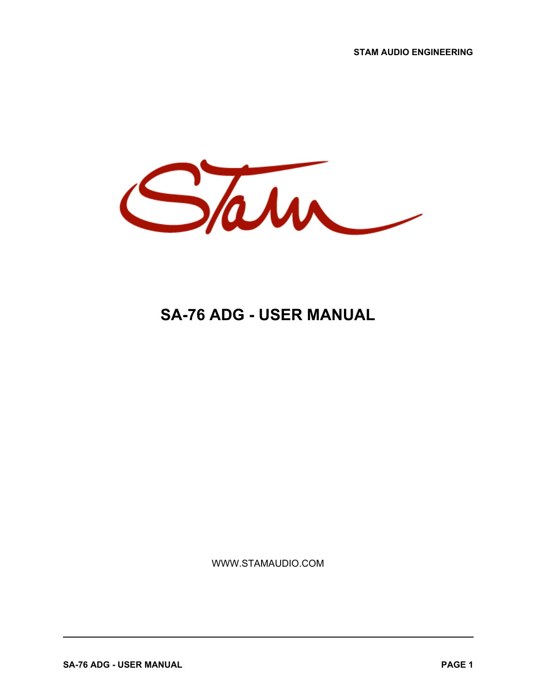**STAM AUDIO ENGINEERING**



# **SA-76 ADG - USER MANUAL**

WWW.STAMAUDIO.COM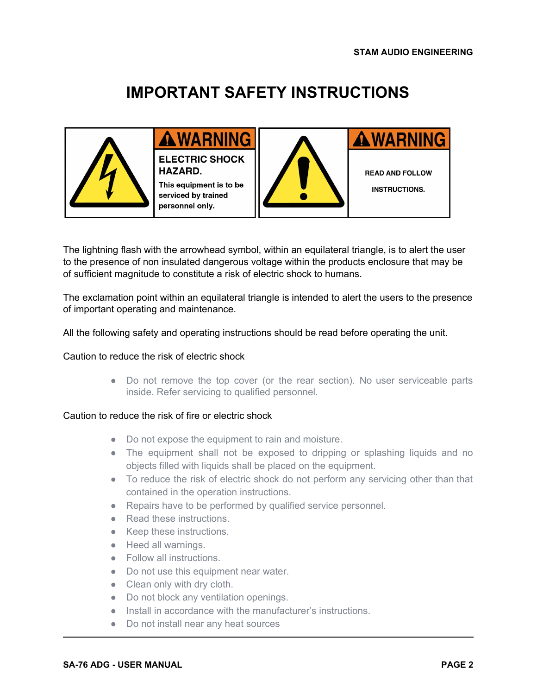# **IMPORTANT SAFETY INSTRUCTIONS**



# **AWARNING**

**ELECTRIC SHOCK** HAZARD. This equipment is to be serviced by trained

personnel only.

**AWARNING** 

**READ AND FOLLOW** 

**INSTRUCTIONS.** 

The lightning flash with the arrowhead symbol, within an equilateral triangle, is to alert the user to the presence of non insulated dangerous voltage within the products enclosure that may be of sufficient magnitude to constitute a risk of electric shock to humans.

The exclamation point within an equilateral triangle is intended to alert the users to the presence of important operating and maintenance.

All the following safety and operating instructions should be read before operating the unit.

#### Caution to reduce the risk of electric shock

• Do not remove the top cover (or the rear section). No user serviceable parts inside. Refer servicing to qualified personnel.

#### Caution to reduce the risk of fire or electric shock

- Do not expose the equipment to rain and moisture.
- The equipment shall not be exposed to dripping or splashing liquids and no objects filled with liquids shall be placed on the equipment.
- To reduce the risk of electric shock do not perform any servicing other than that contained in the operation instructions.
- Repairs have to be performed by qualified service personnel.
- Read these instructions.
- Keep these instructions.
- Heed all warnings.
- Follow all instructions.
- Do not use this equipment near water.
- Clean only with dry cloth.
- Do not block any ventilation openings.
- Install in accordance with the manufacturer's instructions.
- Do not install near any heat sources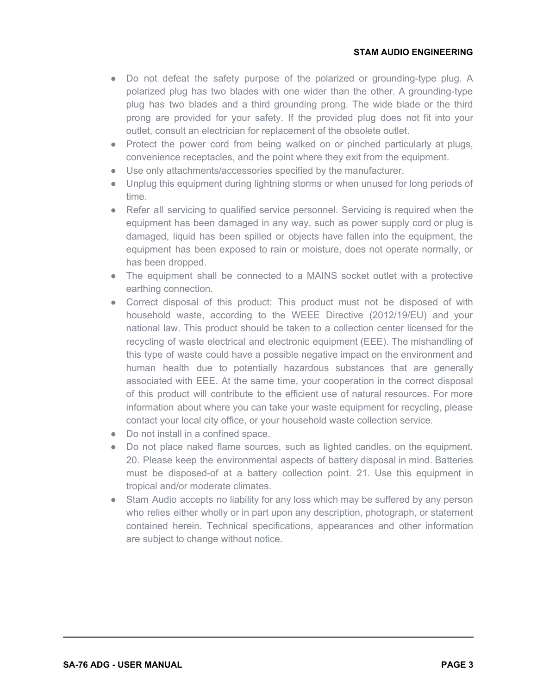- Do not defeat the safety purpose of the polarized or grounding-type plug. A polarized plug has two blades with one wider than the other. A grounding-type plug has two blades and a third grounding prong. The wide blade or the third prong are provided for your safety. If the provided plug does not fit into your outlet, consult an electrician for replacement of the obsolete outlet.
- Protect the power cord from being walked on or pinched particularly at plugs, convenience receptacles, and the point where they exit from the equipment.
- Use only attachments/accessories specified by the manufacturer.
- Unplug this equipment during lightning storms or when unused for long periods of time.
- Refer all servicing to qualified service personnel. Servicing is required when the equipment has been damaged in any way, such as power supply cord or plug is damaged, liquid has been spilled or objects have fallen into the equipment, the equipment has been exposed to rain or moisture, does not operate normally, or has been dropped.
- The equipment shall be connected to a MAINS socket outlet with a protective earthing connection.
- Correct disposal of this product: This product must not be disposed of with household waste, according to the WEEE Directive (2012/19/EU) and your national law. This product should be taken to a collection center licensed for the recycling of waste electrical and electronic equipment (EEE). The mishandling of this type of waste could have a possible negative impact on the environment and human health due to potentially hazardous substances that are generally associated with EEE. At the same time, your cooperation in the correct disposal of this product will contribute to the efficient use of natural resources. For more information about where you can take your waste equipment for recycling, please contact your local city office, or your household waste collection service.
- Do not install in a confined space.
- Do not place naked flame sources, such as lighted candles, on the equipment. 20. Please keep the environmental aspects of battery disposal in mind. Batteries must be disposed-of at a battery collection point. 21. Use this equipment in tropical and/or moderate climates.
- Stam Audio accepts no liability for any loss which may be suffered by any person who relies either wholly or in part upon any description, photograph, or statement contained herein. Technical specifications, appearances and other information are subject to change without notice.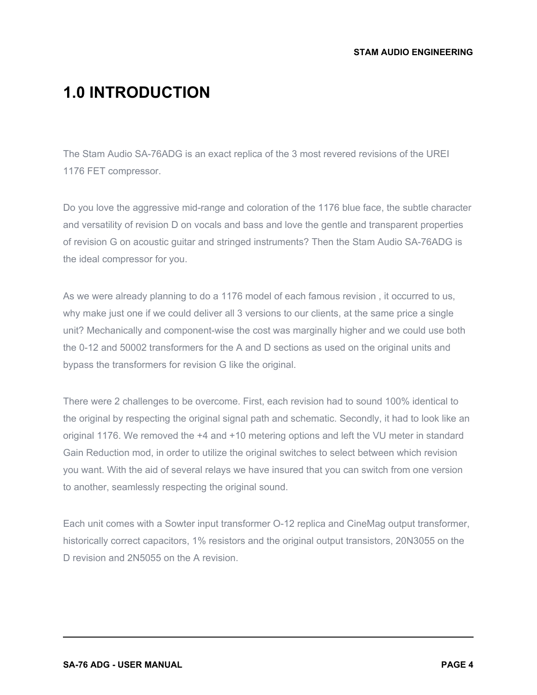## **1.0 INTRODUCTION**

The Stam Audio SA-76ADG is an exact replica of the 3 most revered revisions of the UREI 1176 FET compressor.

Do you love the aggressive mid-range and coloration of the 1176 blue face, the subtle character and versatility of revision D on vocals and bass and love the gentle and transparent properties of revision G on acoustic guitar and stringed instruments? Then the Stam Audio SA-76ADG is the ideal compressor for you.

As we were already planning to do a 1176 model of each famous revision , it occurred to us, why make just one if we could deliver all 3 versions to our clients, at the same price a single unit? Mechanically and component-wise the cost was marginally higher and we could use both the 0-12 and 50002 transformers for the A and D sections as used on the original units and bypass the transformers for revision G like the original.

There were 2 challenges to be overcome. First, each revision had to sound 100% identical to the original by respecting the original signal path and schematic. Secondly, it had to look like an original 1176. We removed the +4 and +10 metering options and left the VU meter in standard Gain Reduction mod, in order to utilize the original switches to select between which revision you want. With the aid of several relays we have insured that you can switch from one version to another, seamlessly respecting the original sound.

Each unit comes with a Sowter input transformer O-12 replica and CineMag output transformer, historically correct capacitors, 1% resistors and the original output transistors, 20N3055 on the D revision and 2N5055 on the A revision.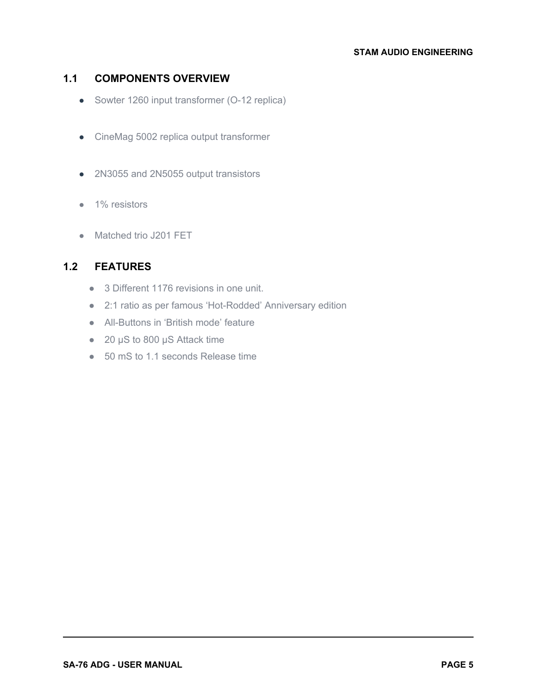#### **STAM AUDIO ENGINEERING**

## **1.1 COMPONENTS OVERVIEW**

- Sowter 1260 input transformer (O-12 replica)
- CineMag 5002 replica output transformer
- 2N3055 and 2N5055 output transistors
- 1% resistors
- Matched trio J201 FET

## **1.2 FEATURES**

- 3 Different 1176 revisions in one unit.
- 2:1 ratio as per famous 'Hot-Rodded' Anniversary edition
- All-Buttons in 'British mode' feature
- 20 µS to 800 µS Attack time
- 50 mS to 1.1 seconds Release time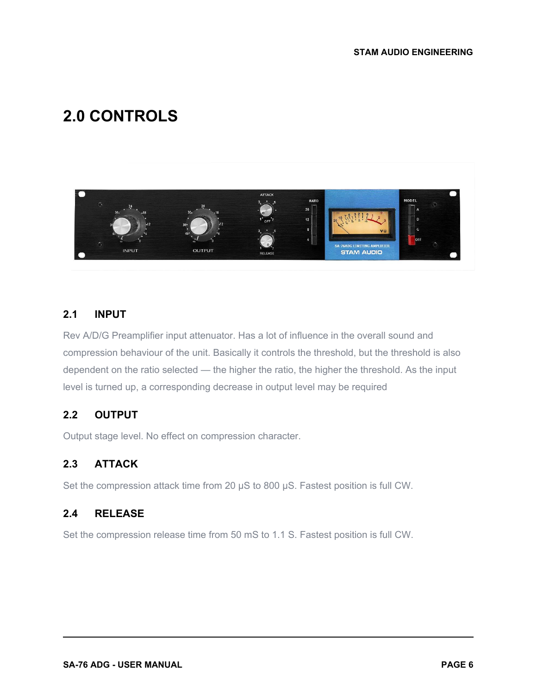# **2.0 CONTROLS**



#### **2.1 INPUT**

Rev A/D/G Preamplifier input attenuator. Has a lot of influence in the overall sound and compression behaviour of the unit. Basically it controls the threshold, but the threshold is also dependent on the ratio selected — the higher the ratio, the higher the threshold. As the input level is turned up, a corresponding decrease in output level may be required

#### **2.2 OUTPUT**

Output stage level. No effect on compression character.

### **2.3 ATTACK**

Set the compression attack time from 20  $\mu$ S to 800  $\mu$ S. Fastest position is full CW.

#### **2.4 RELEASE**

Set the compression release time from 50 mS to 1.1 S. Fastest position is full CW.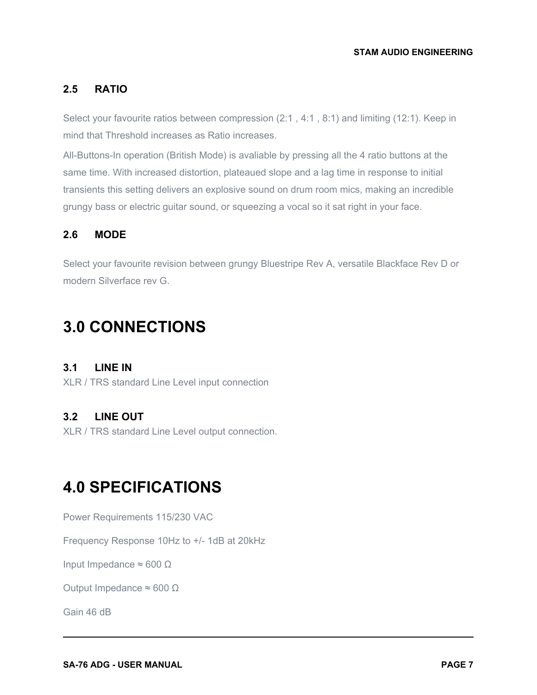## **2.5 RATIO**

Select your favourite ratios between compression (2:1 , 4:1 , 8:1) and limiting (12:1). Keep in mind that Threshold increases as Ratio increases.

All-Buttons-In operation (British Mode) is avaliable by pressing all the 4 ratio buttons at the same time. With increased distortion, plateaued slope and a lag time in response to initial transients this setting delivers an explosive sound on drum room mics, making an incredible grungy bass or electric guitar sound, or squeezing a vocal so it sat right in your face.

### **2.6 MODE**

Select your favourite revision between grungy Bluestripe Rev A, versatile Blackface Rev D or modern Silverface rev G.

## **3.0 CONNECTIONS**

#### **3.1 LINE IN**

XLR / TRS standard Line Level input connection

### **3.2 LINE OUT**

XLR / TRS standard Line Level output connection.

# **4.0 SPECIFICATIONS**

Power Requirements 115/230 VAC

Frequency Response 10Hz to +/- 1dB at 20kHz

Input Impedance  $\approx$  600 Ω

Output Impedance ≈ 600 Ω

Gain 46 dB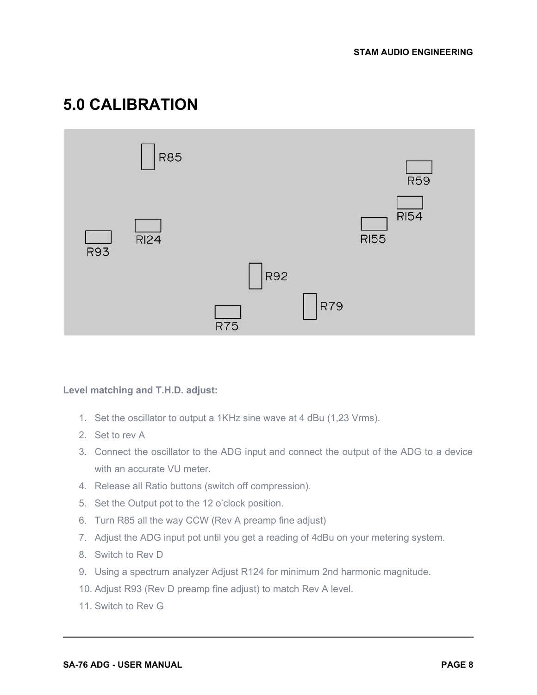# **5.0 CALIBRATION**



#### **Level matching and T.H.D. adjust:**

- 1. Set the oscillator to output a 1KHz sine wave at 4 dBu (1,23 Vrms).
- 2. Set to rev A
- 3. Connect the oscillator to the ADG input and connect the output of the ADG to a device with an accurate VU meter.
- 4. Release all Ratio buttons (switch off compression).
- 5. Set the Output pot to the 12 o'clock position.
- 6. Turn R85 all the way CCW (Rev A preamp fine adjust)
- 7. Adjust the ADG input pot until you get a reading of 4dBu on your metering system.
- 8. Switch to Rev D
- 9. Using a spectrum analyzer Adjust R124 for minimum 2nd harmonic magnitude.
- 10. Adjust R93 (Rev D preamp fine adjust) to match Rev A level.
- 11. Switch to Rev G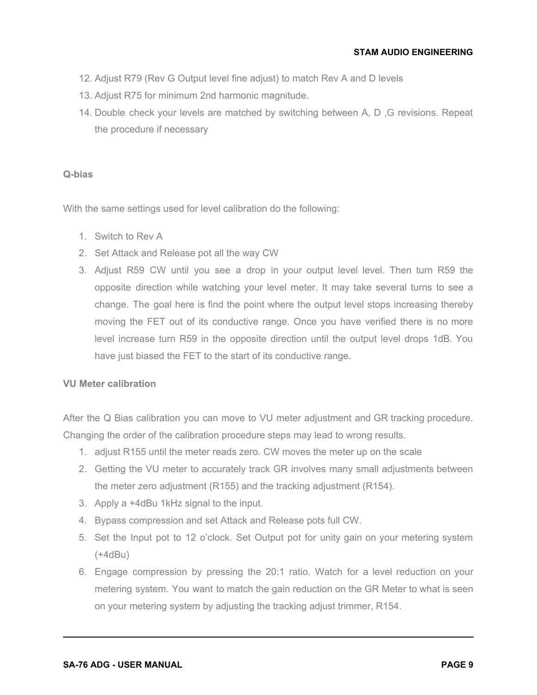- 12. Adjust R79 (Rev G Output level fine adjust) to match Rev A and D levels
- 13. Adjust R75 for minimum 2nd harmonic magnitude.
- 14. Double check your levels are matched by switching between A, D ,G revisions. Repeat the procedure if necessary

#### **Q-bias**

With the same settings used for level calibration do the following:

- 1. Switch to Rev A
- 2. Set Attack and Release pot all the way CW
- 3. Adjust R59 CW until you see a drop in your output level level. Then turn R59 the opposite direction while watching your level meter. It may take several turns to see a change. The goal here is find the point where the output level stops increasing thereby moving the FET out of its conductive range. Once you have verified there is no more level increase turn R59 in the opposite direction until the output level drops 1dB. You have just biased the FET to the start of its conductive range.

#### **VU Meter calibration**

After the Q Bias calibration you can move to VU meter adjustment and GR tracking procedure. Changing the order of the calibration procedure steps may lead to wrong results.

- 1. adjust R155 until the meter reads zero. CW moves the meter up on the scale
- 2. Getting the VU meter to accurately track GR involves many small adjustments between the meter zero adjustment (R155) and the tracking adjustment (R154).
- 3. Apply a +4dBu 1kHz signal to the input.
- 4. Bypass compression and set Attack and Release pots full CW.
- 5. Set the Input pot to 12 o'clock. Set Output pot for unity gain on your metering system (+4dBu)
- 6. Engage compression by pressing the 20:1 ratio. Watch for a level reduction on your metering system. You want to match the gain reduction on the GR Meter to what is seen on your metering system by adjusting the tracking adjust trimmer, R154.